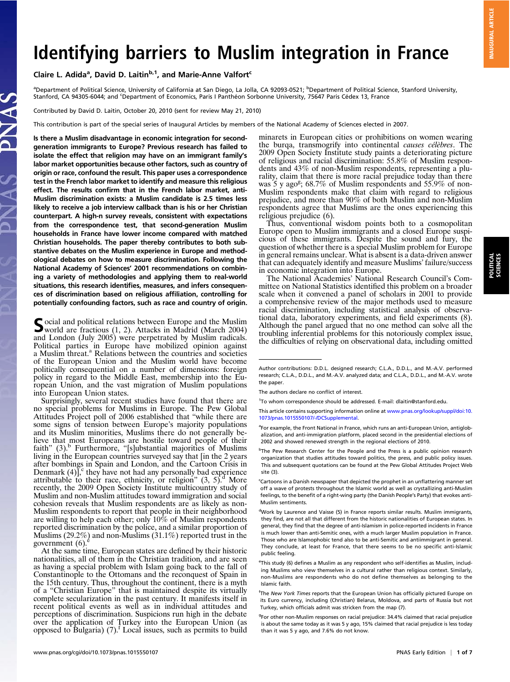# Identifying barriers to Muslim integration in France

# Claire L. Adida<sup>a</sup>, David D. Laitin<sup>b,1</sup>, and Marie-Anne Valfort<sup>c</sup>

<sup>a</sup>Department of Political Science, University of California at San Diego, La Jolla, CA 92093-0521; <sup>b</sup>Department of Political Science, Stanford University, Stanford, CA 94305-6044; and <sup>c</sup>Department of Economics, Paris I Panthéon Sorbonne University, 75647 Paris Cédex 13, France

Contributed by David D. Laitin, October 20, 2010 (sent for review May 21, 2010)

This contribution is part of the special series of Inaugural Articles by members of the National Academy of Sciences elected in 2007.

Is there a Muslim disadvantage in economic integration for secondgeneration immigrants to Europe? Previous research has failed to isolate the effect that religion may have on an immigrant family's labor market opportunities because other factors, such as country of origin or race, confound the result. This paper uses a correspondence test in the French labor market to identify and measure this religious effect. The results confirm that in the French labor market, anti-Muslim discrimination exists: a Muslim candidate is 2.5 times less likely to receive a job interview callback than is his or her Christian counterpart. A high-n survey reveals, consistent with expectations from the correspondence test, that second-generation Muslim households in France have lower income compared with matched Christian households. The paper thereby contributes to both substantive debates on the Muslim experience in Europe and methodological debates on how to measure discrimination. Following the National Academy of Sciences' 2001 recommendations on combining a variety of methodologies and applying them to real-world situations, this research identifies, measures, and infers consequences of discrimination based on religious affiliation, controlling for potentially confounding factors, such as race and country of origin.

Social and political relations between Europe and the Muslim<br>world are fractious (1, 2). Attacks in Madrid (March 2004) and London (July 2005) were perpetrated by Muslim radicals. Political parties in Europe have mobilized opinion against<br>a Muslim threat.<sup>a</sup> Relations between the countries and societies of the European Union and the Muslim world have become politically consequential on a number of dimensions: foreign policy in regard to the Middle East, membership into the European Union, and the vast migration of Muslim populations into European Union states.

Surprisingly, several recent studies have found that there are no special problems for Muslims in Europe. The Pew Global Attitudes Project poll of 2006 established that "while there are some signs of tension between Europe's majority populations and its Muslim minorities, Muslims there do not generally believe that most Europeans are hostile toward people of their faith" (3).<sup>b</sup> Furthermore, "[s]ubstantial majorities of Muslims living in the European countries surveyed say that [in the 2 years after bombings in Spain and London, and the Cartoon Crisis in Denmark  $(4)$ , they have not had any personally bad experience attributable to their race, ethnicity, or religion"  $(3, 5)$ .<sup>d</sup> More recently, the 2009 Open Society Institute multicountry study of Muslim and non-Muslim attitudes toward immigration and social cohesion reveals that Muslim respondents are as likely as non-Muslim respondents to report that people in their neighborhood are willing to help each other; only 10% of Muslim respondents reported discrimination by the police, and a similar proportion of Muslims (29.2%) and non-Muslims (31.1%) reported trust in the government  $(6)$ .

At the same time, European states are defined by their historic nationalities, all of them in the Christian tradition, and are seen as having a special problem with Islam going back to the fall of Constantinople to the Ottomans and the reconquest of Spain in the 15th century. Thus, throughout the continent, there is a myth of a "Christian Europe" that is maintained despite its virtually complete secularization in the past century. It manifests itself in recent political events as well as in individual attitudes and perceptions of discrimination. Suspicions run high in the debate over the application of Turkey into the European Union (as opposed to Bulgaria) (7).<sup>f</sup> Local issues, such as permits to build

minarets in European cities or prohibitions on women wearing the burqa, transmogrify into continental causes célèbres. The 2009 Open Society Institute study paints a deteriorating picture of religious and racial discrimination: 55.8% of Muslim respondents and 43% of non-Muslim respondents, representing a plurality, claim that there is more racial prejudice today than there was 5 y ago<sup>g</sup>;  $68.7\%$  of Muslim respondents and  $55.9\%$  of non-Muslim respondents make that claim with regard to religious prejudice, and more than 90% of both Muslim and non-Muslim respondents agree that Muslims are the ones experiencing this religious prejudice (6).

Thus, conventional wisdom points both to a cosmopolitan Europe open to Muslim immigrants and a closed Europe suspicious of these immigrants. Despite the sound and fury, the question of whether there is a special Muslim problem for Europe in general remains unclear. What is absent is a data-driven answer that can adequately identify and measure Muslims' failure/success in economic integration into Europe.

The National Academies' National Research Council's Committee on National Statistics identified this problem on a broader scale when it convened a panel of scholars in 2001 to provide a comprehensive review of the major methods used to measure racial discrimination, including statistical analysis of observational data, laboratory experiments, and field experiments (8). Although the panel argued that no one method can solve all the troubling inferential problems for this notoriously complex issue, the difficulties of relying on observational data, including omitted

<sup>b</sup>The Pew Research Center for the People and the Press is a public opinion research organization that studies attitudes toward politics, the press, and public policy issues. This and subsequent quotations can be found at the Pew Global Attitudes Project Web site (3).

Author contributions: D.D.L. designed research; C.L.A., D.D.L., and M.-A.V. performed research; C.L.A., D.D.L., and M.-A.V. analyzed data; and C.L.A., D.D.L., and M.-A.V. wrote the paper.

The authors declare no conflict of interest.

<sup>&</sup>lt;sup>1</sup>To whom correspondence should be addressed. E-mail: [dlaitin@stanford.edu](mailto:dlaitin@stanford.edu).

This article contains supporting information online at [www.pnas.org/lookup/suppl/doi:10.](http://www.pnas.org/lookup/suppl/doi:10.1073/pnas.1015550107/-/DCSupplemental) [1073/pnas.1015550107/-/DCSupplemental](http://www.pnas.org/lookup/suppl/doi:10.1073/pnas.1015550107/-/DCSupplemental).

<sup>&</sup>lt;sup>a</sup>For example, the Front National in France, which runs an anti-European Union, antiglobalization, and anti-immigration platform, placed second in the presidential elections of 2002 and showed renewed strength in the regional elections of 2010.

<sup>&</sup>lt;sup>c</sup>Cartoons in a Danish newspaper that depicted the prophet in an unflattering manner set off a wave of protests throughout the Islamic world as well as crystallizing anti-Muslim feelings, to the benefit of a right-wing party (the Danish People's Party) that evokes anti-Muslim sentiments.

<sup>&</sup>lt;sup>d</sup>Work by Laurence and Vaisse (5) in France reports similar results. Muslim immigrants, they find, are not all that different from the historic nationalities of European states. In general, they find that the degree of anti-Islamism in police-reported incidents in France is much lower than anti-Semitic ones, with a much larger Muslim population in France. Those who are Islamophobic tend also to be anti-Semitic and antiimmigrant in general. They conclude, at least for France, that there seems to be no specific anti-Islamic public feeling.

e This study (6) defines a Muslim as any respondent who self-identifies as Muslim, including Muslims who view themselves in a cultural rather than religious context. Similarly, non-Muslims are respondents who do not define themselves as belonging to the Islamic faith.

f The New York Times reports that the European Union has officially pictured Europe on its Euro currency, including (Christian) Belarus, Moldova, and parts of Russia but not Turkey, which officials admit was stricken from the map (7).

<sup>&</sup>lt;sup>g</sup>For other non-Muslim responses on racial prejudice: 34.4% claimed that racial prejudice is about the same today as it was 5 y ago, 15% claimed that racial prejudice is less today than it was 5 y ago, and 7.6% do not know.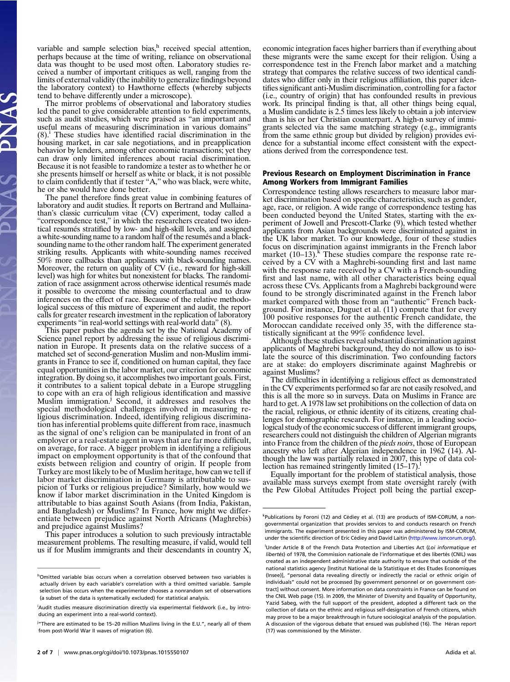variable and sample selection bias,<sup>h</sup> received special attention, perhaps because at the time of writing, reliance on observational data was thought to be used most often. Laboratory studies received a number of important critiques as well, ranging from the limits of external validity (the inability to generalize findings beyond the laboratory context) to Hawthorne effects (whereby subjects tend to behave differently under a microscope).

The mirror problems of observational and laboratory studies led the panel to give considerable attention to field experiments, such as audit studies, which were praised as "an important and useful means of measuring discrimination in various domains"  $(8)$ .<sup>i</sup> These studies have identified racial discrimination in the housing market, in car sale negotiations, and in preapplication behavior by lenders, among other economic transactions; yet they can draw only limited inferences about racial discrimination. Because it is not feasible to randomize a tester as to whether he or she presents himself or herself as white or black, it is not possible to claim confidently that if tester "A," who was black, were white, he or she would have done better.

The panel therefore finds great value in combining features of laboratory and audit studies. It reports on Bertrand and Mullaina-<br>than's classic curriculum vitae (CV) experiment, today called a "correspondence test," in which the researchers created two identical resumés stratified by low- and high-skill levels, and assigned a white-sounding name to a random half of the resumés and a blacksounding name to the other random half. The experiment generated striking results. Applicants with white-sounding names received 50% more callbacks than applicants with black-sounding names. Moreover, the return on quality of CV (i.e., reward for high-skill level) was high for whites but nonexistent for blacks. The randomization of race assignment across otherwise identical resumés made it possible to overcome the missing counterfactual and to draw inferences on the effect of race. Because of the relative methodological success of this mixture of experiment and audit, the report calls for greater research investment in the replication of laboratory experiments "in real-world settings with real-world data" (8).

This paper pushes the agenda set by the National Academy of Science panel report by addressing the issue of religious discrimination in Europe. It presents data on the relative success of a matched set of second-generation Muslim and non-Muslim immigrants in France to see if, conditioned on human capital, they face equal opportunities in the labor market, our criterion for economic integration. By doing so, it accomplishes two important goals. First, it contributes to a salient topical debate in a Europe struggling to cope with an era of high religious identification and massive Muslim immigration.<sup>J</sup> Second, it addresses and resolves the special methodological challenges involved in measuring religious discrimination. Indeed, identifying religious discrimination has inferential problems quite different from race, inasmuch as the signal of one's religion can be manipulated in front of an employer or a real-estate agent in ways that are far more difficult, on average, for race. A bigger problem in identifying a religious impact on employment opportunity is that of the confound that exists between religion and country of origin. If people from Turkey are most likely to be of Muslim heritage, how can we tell if labor market discrimination in Germany is attributable to suspicion of Turks or religious prejudice? Similarly, how would we know if labor market discrimination in the United Kingdom is attributable to bias against South Asians (from India, Pakistan, and Bangladesh) or Muslims? In France, how might we differentiate between prejudice against North Africans (Maghrebis) and prejudice against Muslims?

This paper introduces a solution to such previously intractable measurement problems. The resulting measure, if valid, would tell us if for Muslim immigrants and their descendants in country X,

economic integration faces higher barriers than if everything about these migrants were the same except for their religion. Using a correspondence test in the French labor market and a matching strategy that compares the relative success of two identical candidates who differ only in their religious affiliation, this paper identifies significant anti-Muslim discrimination, controlling for a factor (i.e., country of origin) that has confounded results in previous work. Its principal finding is that, all other things being equal, a Muslim candidate is 2.5 times less likely to obtain a job interview than is his or her Christian counterpart. A high-n survey of immigrants selected via the same matching strategy (e.g., immigrants from the same ethnic group but divided by religion) provides evidence for a substantial income effect consistent with the expectations derived from the correspondence test.

## Previous Research on Employment Discrimination in France Among Workers from Immigrant Families

Correspondence testing allows researchers to measure labor market discrimination based on specific characteristics, such as gender, age, race, or religion. A wide range of correspondence testing has been conducted beyond the United States, starting with the experiment of Jowell and Prescott-Clarke (9), which tested whether applicants from Asian backgrounds were discriminated against in the UK labor market. To our knowledge, four of these studies focus on discrimination against immigrants in the French labor market  $(10-13)$ .<sup>k</sup> These studies compare the response rate received by a CV with a Maghrebi-sounding first and last name with the response rate received by a CV with a French-sounding first and last name, with all other characteristics being equal across these CVs. Applicants from a Maghrebi background were found to be strongly discriminated against in the French labor market compared with those from an "authentic" French background. For instance, Duguet et al. (11) compute that for every 100 positive responses for the authentic French candidate, the Moroccan candidate received only 35, with the difference statistically significant at the 99% confidence level.

Although these studies reveal substantial discrimination against applicants of Maghrebi background, they do not allow us to isolate the source of this discrimination. Two confounding factors are at stake: do employers discriminate against Maghrebis or against Muslims?

The difficulties in identifying a religious effect as demonstrated in the CV experiments performed so far are not easily resolved, and this is all the more so in surveys. Data on Muslims in France are hard to get. A 1978 law set prohibitions on the collection of data on the racial, religious, or ethnic identity of its citizens, creating challenges for demographic research. For instance, in a leading sociological study of the economic success of different immigrant groups, researchers could not distinguish the children of Algerian migrants into France from the children of the pieds noirs, those of European ancestry who left after Algerian independence in 1962 (14). Although the law was partially relaxed in 2007, this type of data collection has remained stringently limited (15–17).

Equally important for the problem of statistical analysis, those available mass surveys exempt from state oversight rarely (with the Pew Global Attitudes Project poll being the partial excep-

hOmitted variable bias occurs when a correlation observed between two variables is actually driven by each variable's correlation with a third omitted variable. Sample selection bias occurs when the experimenter chooses a nonrandom set of observations (a subset of the data is systematically excluded) for statistical analysis.

i Audit studies measure discrimination directly via experimental fieldwork (i.e., by introducing an experiment into a real-world context).

<sup>&</sup>lt;sup>j</sup> "There are estimated to be 15–20 million Muslims living in the E.U.", nearly all of them from post-World War II waves of migration (6).

<sup>&</sup>lt;sup>k</sup>Publications by Foroni (12) and Cédiey et al. (13) are products of ISM-CORUM, a nongovernmental organization that provides services to and conducts research on French immigrants. The experiment presented in this paper was administered by ISM-CORUM, under the scientific direction of Eric Cédiey and David Laitin ([http://www.ismcorum.org/\)](http://www.ismcorum.org/).

Under Article 8 of the French Data Protection and Liberties Act (Loi informatique et libertés) of 1978, the Commission nationale de l'informatique et des libertés (CNIL) was created as an independent administrative state authority to ensure that outside of the national statistics agency [Institut National de la Statistique et des Etudes Economiques (Insee)], "personal data revealing directly or indirectly the racial or ethnic origin of individuals" could not be processed [by government personnel or on government contract] without consent. More information on data constraints in France can be found on the CNIL Web page (15). In 2009, the Minister of Diversity and Equality of Opportunity, Yazid Sabeg, with the full support of the president, adopted a different tack on the collection of data on the ethnic and religious self-designation of French citizens, which may prove to be a major breakthrough in future sociological analysis of the population. A discussion of the vigorous debate that ensued was published (16). The Héran report (17) was commissioned by the Minister.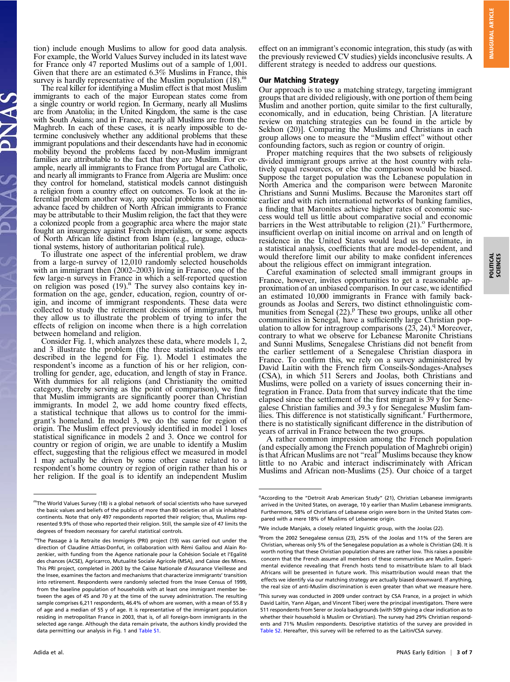tion) include enough Muslims to allow for good data analysis. For example, the World Values Survey included in its latest wave for France only 47 reported Muslims out of a sample of 1,001. Given that there are an estimated 6.3% Muslims in France, this survey is hardly representative of the Muslim population  $(18)$ .<sup>m</sup>

The real killer for identifying a Muslim effect is that most Muslim immigrants to each of the major European states come from a single country or world region. In Germany, nearly all Muslims are from Anatolia; in the United Kingdom, the same is the case with South Asians; and in France, nearly all Muslims are from the Maghreb. In each of these cases, it is nearly impossible to determine conclusively whether any additional problems that these immigrant populations and their descendants have had in economic mobility beyond the problems faced by non-Muslim immigrant families are attributable to the fact that they are Muslim. For example, nearly all immigrants to France from Portugal are Catholic, and nearly all immigrants to France from Algeria are Muslim: once they control for homeland, statistical models cannot distinguish a religion from a country effect on outcomes. To look at the inferential problem another way, any special problems in economic advance faced by children of North African immigrants to France may be attributable to their Muslim religion, the fact that they were a colonized people from a geographic area where the major state fought an insurgency against French imperialism, or some aspects of North African life distinct from Islam (e.g., language, educational systems, history of authoritarian political rule).

To illustrate one aspect of the inferential problem, we draw from a large-n survey of 12,010 randomly selected households with an immigrant then (2002–2003) living in France, one of the few large-n surveys in France in which a self-reported question on religion was posed (19).<sup>n</sup> The survey also contains key information on the age, gender, education, region, country of origin, and income of immigrant respondents. These data were collected to study the retirement decisions of immigrants, but they allow us to illustrate the problem of trying to infer the effects of religion on income when there is a high correlation between homeland and religion.

Consider Fig. 1, which analyzes these data, where models 1, 2, and 3 illustrate the problem (the three statistical models are described in the legend for Fig. 1). Model 1 estimates the respondent's income as a function of his or her religion, controlling for gender, age, education, and length of stay in France. With dummies for all religions (and Christianity the omitted category, thereby serving as the point of comparison), we find that Muslim immigrants are significantly poorer than Christian immigrants. In model 2, we add home country fixed effects, a statistical technique that allows us to control for the immigrant's homeland. In model 3, we do the same for region of origin. The Muslim effect previously identified in model 1 loses statistical significance in models 2 and 3. Once we control for country or region of origin, we are unable to identify a Muslim effect, suggesting that the religious effect we measured in model 1 may actually be driven by some other cause related to a respondent's home country or region of origin rather than his or her religion. If the goal is to identify an independent Muslim effect on an immigrant's economic integration, this study (as with the previously reviewed CV studies) yields inconclusive results. A different strategy is needed to address our questions.

#### Our Matching Strategy

Our approach is to use a matching strategy, targeting immigrant groups that are divided religiously, with one portion of them being Muslim and another portion, quite similar to the first culturally, economically, and in education, being Christian. [A literature review on matching strategies can be found in the article by Sekhon (20)]. Comparing the Muslims and Christians in each group allows one to measure the "Muslim effect" without other confounding factors, such as region or country of origin.

Proper matching requires that the two subsets of religiously divided immigrant groups arrive at the host country with relatively equal resources, or else the comparison would be biased. Suppose the target population was the Lebanese population in North America and the comparison were between Maronite Christians and Sunni Muslims. Because the Maronites start off earlier and with rich international networks of banking families, a finding that Maronites achieve higher rates of economic success would tell us little about comparative social and economic barriers in the West attributable to religion  $(21)$ .<sup>o</sup> Furthermore, insufficient overlap on initial income on arrival and on length of residence in the United States would lead us to estimate, in a statistical analysis, coefficients that are model-dependent, and would therefore limit our ability to make confident inferences about the religious effect on immigrant integration.

Careful examination of selected small immigrant groups in France, however, invites opportunities to get a reasonable approximation of an unbiased comparison. In our case, we identified an estimated 10,000 immigrants in France with family backgrounds as Joolas and Serers, two distinct ethnolinguistic com-<br>munities from Senegal (22).<sup>p</sup> These two groups, unlike all other communities in Senegal, have a sufficiently large Christian population to allow for intragroup comparisons  $(23, 24)$ .<sup>q</sup> Moreover, contrary to what we observe for Lebanese Maronite Christians and Sunni Muslims, Senegalese Christians did not benefit from the earlier settlement of a Senegalese Christian diaspora in France. To confirm this, we rely on a survey administered by David Laitin with the French firm Conseils-Sondages-Analyses (CSA), in which 511 Serers and Joolas, both Christians and Muslims, were polled on a variety of issues concerning their integration in France. Data from that survey indicate that the time elapsed since the settlement of the first migrant is 39 y for Senegalese Christian families and 39.3 y for Senegalese Muslim families. This difference is not statistically significant.<sup>r</sup> Furthermore, there is no statistically significant difference in the distribution of years of arrival in France between the two groups.

A rather common impression among the French population (and especially among the French population of Maghrebi origin) is that African Muslims are not "real" Muslims because they know little to no Arabic and interact indiscriminately with African Muslims and African non-Muslims (25). Our choice of a target POLITICAL SCIENCES

POLITICAL<br>SCIENCES

mThe World Values Survey (18) is a global network of social scientists who have surveyed the basic values and beliefs of the publics of more than 80 societies on all six inhabited continents. Note that only 497 respondents reported their religion; thus, Muslims represented 9.9% of those who reported their religion. Still, the sample size of 47 limits the degrees of freedom necessary for careful statistical controls.

<sup>&</sup>lt;sup>n</sup>The Passage à la Retraite des Immigrés (PRI) project (19) was carried out under the direction of Claudine Attias-Donfut, in collaboration with Rémi Gallou and Alain Rozenkier, with funding from the Agence nationale pour la Cohésion Sociale et l'Egalité des chances (ACSE), Agricarrco, Mutualité Sociale Agricole (MSA), and Caisse des Mines. This PRI project, completed in 2003 by the Caisse Nationale d'Assurance Vieillesse and the Insee, examines the factors and mechanisms that characterize immigrants' transition into retirement. Respondents were randomly selected from the Insee Census of 1999, from the baseline population of households with at least one immigrant member between the ages of 45 and 70 y at the time of the survey administration. The resulting sample comprises 6,211 respondents, 46.4% of whom are women, with a mean of 55.8 y of age and a median of 55 y of age. It is representative of the immigrant population residing in metropolitan France in 2003, that is, of all foreign-born immigrants in the selected age range. Although the data remain private, the authors kindly provided the data permitting our analysis in Fig. 1 and [Table S1.](http://www.pnas.org/lookup/suppl/doi:10.1073/pnas.1015550107/-/DCSupplemental/pnas.201015550SI.pdf?targetid=nameddest=ST1)

<sup>&</sup>lt;sup>o</sup> According to the "Detroit Arab American Study" (21), Christian Lebanese immigrants arrived in the United States, on average, 10 y earlier than Muslim Lebanese immigrants. Furthermore, 58% of Christians of Lebanese origin were born in the United States compared with a mere 18% of Muslims of Lebanese origin.

<sup>&</sup>lt;sup>p</sup>We include Manjaks, a closely related linguistic group, with the Joolas (22).

<sup>&</sup>lt;sup>q</sup>From the 2002 Senegalese census (23), 25% of the Joolas and 11% of the Serers are Christian, whereas only 5% of the Senegalese population as a whole is Christian (24). It is worth noting that these Christian population shares are rather low. This raises a possible concern that the French assume all members of these communities are Muslim. Experimental evidence revealing that French hosts tend to misattribute Islam to all black Africans will be presented in future work. This misattribution would mean that the effects we identify via our matching strategy are actually biased downward. If anything, the real size of anti-Muslim discrimination is even greater than what we measure here. r This survey was conducted in 2009 under contract by CSA France, in a project in which David Laitin, Yann Algan, and Vincent Tiberj were the principal investigators. There were 511 respondents from Serer or Joola backgrounds (with 509 giving a clear indication as to whether their household is Muslim or Christian). The survey had 29% Christian respondents and 71% Muslim respondents. Descriptive statistics of the survey are provided in [Table S2.](http://www.pnas.org/lookup/suppl/doi:10.1073/pnas.1015550107/-/DCSupplemental/pnas.201015550SI.pdf?targetid=nameddest=ST2) Hereafter, this survey will be referred to as the Laitin/CSA survey.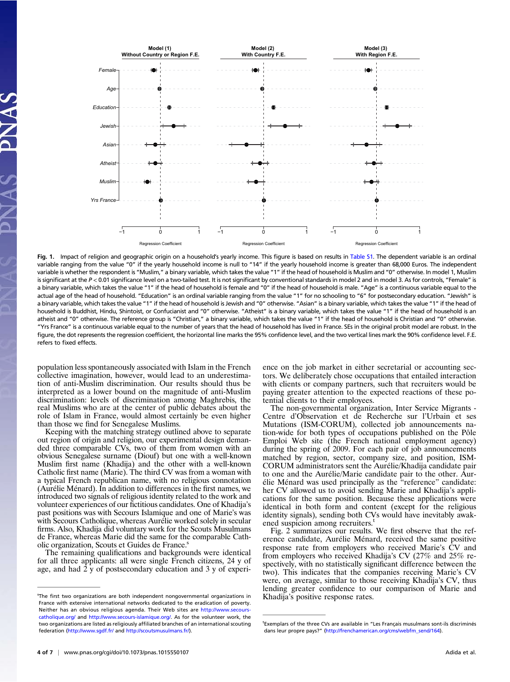

Fig. 1. Impact of religion and geographic origin on a household's yearly income. This figure is based on results in [Table S1.](http://www.pnas.org/lookup/suppl/doi:10.1073/pnas.1015550107/-/DCSupplemental/pnas.201015550SI.pdf?targetid=nameddest=ST1) The dependent variable is an ordinal variable ranging from the value "0" if the yearly household income is null to "14" if the yearly household income is greater than 68,000 Euros. The independent variable is whether the respondent is "Muslim," a binary variable, which takes the value "1" if the head of household is Muslim and "0" otherwise. In model 1, Muslim is significant at the P < 0.01 significance level on a two-tailed test. It is not significant by conventional standards in model 2 and in model 3. As for controls, "Female" is a binary variable, which takes the value "1" if the head of household is female and "0" if the head of household is male. "Age" is a continuous variable equal to the actual age of the head of household. "Education" is an ordinal variable ranging from the value "1" for no schooling to "6" for postsecondary education. "Jewish" is a binary variable, which takes the value "1" if the head of household is Jewish and "0" otherwise. "Asian" is a binary variable, which takes the value "1" if the head of household is Buddhist, Hindu, Shintoist, or Confucianist and "0" otherwise. "Atheist" is a binary variable, which takes the value "1" if the head of household is an atheist and "0" otherwise. The reference group is "Christian," a binary variable, which takes the value "1" if the head of household is Christian and "0" otherwise. "Yrs France" is a continuous variable equal to the number of years that the head of household has lived in France. SEs in the original probit model are robust. In the figure, the dot represents the regression coefficient, the horizontal line marks the 95% confidence level, and the two vertical lines mark the 90% confidence level. F.E. refers to fixed effects.

population less spontaneously associated with Islam in the French collective imagination, however, would lead to an underestimation of anti-Muslim discrimination. Our results should thus be interpreted as a lower bound on the magnitude of anti-Muslim discrimination: levels of discrimination among Maghrebis, the real Muslims who are at the center of public debates about the role of Islam in France, would almost certainly be even higher than those we find for Senegalese Muslims.

Keeping with the matching strategy outlined above to separate out region of origin and religion, our experimental design demanded three comparable CVs, two of them from women with an obvious Senegalese surname (Diouf) but one with a well-known Muslim first name (Khadija) and the other with a well-known Catholic first name (Marie). The third CV was from a woman with a typical French republican name, with no religious connotation (Aurélie Ménard). In addition to differences in the first names, we introduced two signals of religious identity related to the work and volunteer experiences of our fictitious candidates. One of Khadija's past positions was with Secours Islamique and one of Marie's was with Secours Catholique, whereas Aurélie worked solely in secular firms. Also, Khadija did voluntary work for the Scouts Musulmans de France, whereas Marie did the same for the comparable Catholic organization, Scouts et Guides de France.<sup>8</sup>

The remaining qualifications and backgrounds were identical for all three applicants: all were single French citizens, 24 y of age, and had 2 y of postsecondary education and 3 y of experience on the job market in either secretarial or accounting sectors. We deliberately chose occupations that entailed interaction with clients or company partners, such that recruiters would be paying greater attention to the expected reactions of these potential clients to their employees.

The non-governmental organization, Inter Service Migrants - Centre d'Observation et de Recherche sur l'Urbain et ses Mutations (ISM-CORUM), collected job announcements nation-wide for both types of occupations published on the Pôle Emploi Web site (the French national employment agency) during the spring of 2009. For each pair of job announcements matched by region, sector, company size, and position, ISM-CORUM administrators sent the Aurélie/Khadija candidate pair to one and the Aurélie/Marie candidate pair to the other. Aurélie Ménard was used principally as the "reference" candidate: her CV allowed us to avoid sending Marie and Khadija's applications for the same position. Because these applications were identical in both form and content (except for the religious identity signals), sending both CVs would have inevitably awakened suspicion among recruiters.

Fig. 2 summarizes our results. We first observe that the reference candidate, Aurélie Ménard, received the same positive response rate from employers who received Marie's CV and from employers who received Khadija's CV (27% and 25% respectively, with no statistically significant difference between the two). This indicates that the companies receiving Marie's CV were, on average, similar to those receiving Khadija's CV, thus lending greater confidence to our comparison of Marie and Khadija's positive response rates.

s The first two organizations are both independent nongovernmental organizations in France with extensive international networks dedicated to the eradication of poverty. Neither has an obvious religious agenda. Their Web sites are [http://www.secours](http://www.secours-catholique.org/)[catholique.org/](http://www.secours-catholique.org/) and [http://www.secours-islamique.org/.](http://www.secours-islamique.org/) As for the volunteer work, the two organizations are listed as religiously affiliated branches of an international scouting federation (<http://www.sgdf.fr/> and [http://scoutsmusulmans.fr/\)](http://scoutsmusulmans.fr/).

t Exemplars of the three CVs are available in "Les Français musulmans sont-ils discriminés dans leur propre pays?" ([http://frenchamerican.org/cms/webfm\\_send/164\)](http://frenchamerican.org/cms/webfm_send/164).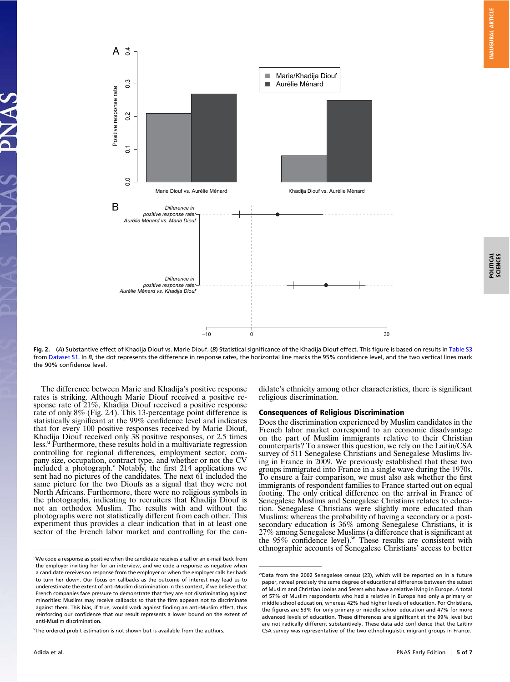

POLITICAL SCIENCES

POLITICAL<br>SCIENCES

Fig. 2. (A) Substantive effect of Khadija Diouf vs. Marie Diouf. (B) Statistical significance of the Khadija Diouf effect. This figure is based on results in [Table S3](http://www.pnas.org/lookup/suppl/doi:10.1073/pnas.1015550107/-/DCSupplemental/pnas.201015550SI.pdf?targetid=nameddest=ST3) from [Dataset S1.](http://www.pnas.org/lookup/suppl/doi:10.1073/pnas.1015550107/-/DCSupplemental/sd01.xls) In B, the dot represents the difference in response rates, the horizontal line marks the 95% confidence level, and the two vertical lines mark the 90% confidence level.

The difference between Marie and Khadija's positive response rates is striking. Although Marie Diouf received a positive response rate of 21%, Khadija Diouf received a positive response rate of only 8% (Fig. 2A). This 13-percentage point difference is statistically significant at the 99% confidence level and indicates that for every 100 positive responses received by Marie Diouf, Khadija Diouf received only 38 positive responses, or 2.5 times less.<sup>u</sup> Furthermore, these results hold in a multivariate regression controlling for regional differences, employment sector, company size, occupation, contract type, and whether or not the CV included a photograph.<sup>V</sup> Notably, the first 214 applications we sent had no pictures of the candidates. The next 61 included the same picture for the two Dioufs as a signal that they were not North Africans. Furthermore, there were no religious symbols in the photographs, indicating to recruiters that Khadija Diouf is not an orthodox Muslim. The results with and without the photographs were not statistically different from each other. This experiment thus provides a clear indication that in at least one sector of the French labor market and controlling for the can-

didate's ethnicity among other characteristics, there is significant religious discrimination.

## Consequences of Religious Discrimination

Does the discrimination experienced by Muslim candidates in the French labor market correspond to an economic disadvantage on the part of Muslim immigrants relative to their Christian counterparts? To answer this question, we rely on the Laitin/CSA survey of 511 Senegalese Christians and Senegalese Muslims living in France in 2009. We previously established that these two groups immigrated into France in a single wave during the 1970s. To ensure a fair comparison, we must also ask whether the first immigrants of respondent families to France started out on equal footing. The only critical difference on the arrival in France of Senegalese Muslims and Senegalese Christians relates to education. Senegalese Christians were slightly more educated than Muslims: whereas the probability of having a secondary or a postsecondary education is 36% among Senegalese Christians, it is 27% among Senegalese Muslims (a difference that is significant at the 95% confidence level).<sup>w</sup> These results are consistent with ethnographic accounts of Senegalese Christians' access to better

<sup>&</sup>lt;sup>u</sup>We code a response as positive when the candidate receives a call or an e-mail back from the employer inviting her for an interview, and we code a response as negative when a candidate receives no response from the employer or when the employer calls her back to turn her down. Our focus on callbacks as the outcome of interest may lead us to underestimate the extent of anti-Muslim discrimination in this context, if we believe that French companies face pressure to demonstrate that they are not discriminating against minorities: Muslims may receive callbacks so that the firm appears not to discriminate against them. This bias, if true, would work against finding an anti-Muslim effect, thus reinforcing our confidence that our result represents a lower bound on the extent of anti-Muslim discrimination.

v The ordered probit estimation is not shown but is available from the authors.

wData from the 2002 Senegalese census (23), which will be reported on in a future paper, reveal precisely the same degree of educational difference between the subset of Muslim and Christian Joolas and Serers who have a relative living in Europe. A total of 57% of Muslim respondents who had a relative in Europe had only a primary or middle school education, whereas 42% had higher levels of education. For Christians, the figures are 53% for only primary or middle school education and 47% for more advanced levels of education. These differences are significant at the 99% level but are not radically different substantively. These data add confidence that the Laitin/ CSA survey was representative of the two ethnolinguistic migrant groups in France.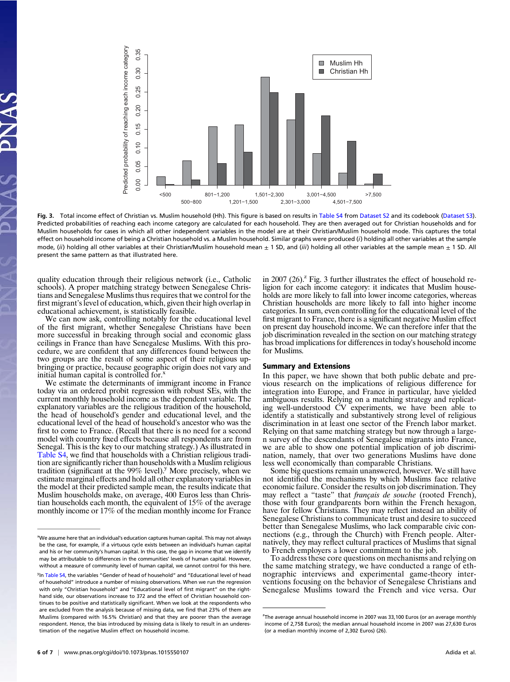

Fig. 3. Total income effect of Christian vs. Muslim household (Hh). This figure is based on results in [Table S4](http://www.pnas.org/lookup/suppl/doi:10.1073/pnas.1015550107/-/DCSupplemental/pnas.201015550SI.pdf?targetid=nameddest=ST4) from [Dataset S2](http://www.pnas.org/lookup/suppl/doi:10.1073/pnas.1015550107/-/DCSupplemental/sd02.xls) and its codebook [\(Dataset S3](http://www.pnas.org/lookup/suppl/doi:10.1073/pnas.1015550107/-/DCSupplemental/sd03.xls)). Predicted probabilities of reaching each income category are calculated for each household. They are then averaged out for Christian households and for Muslim households for cases in which all other independent variables in the model are at their Christian/Muslim household mode. This captures the total effect on household income of being a Christian household vs. a Muslim household. Similar graphs were produced (i) holding all other variables at the sample mode, (ii) holding all other variables at their Christian/Muslim household mean  $\pm$  1 SD, and (iii) holding all other variables at the sample mean  $\pm$  1 SD. All present the same pattern as that illustrated here.

quality education through their religious network (i.e., Catholic schools). A proper matching strategy between Senegalese Christians and Senegalese Muslims thus requires that we control for the first migrant's level of education, which, given their high overlap in educational achievement, is statistically feasible.

We can now ask, controlling notably for the educational level of the first migrant, whether Senegalese Christians have been more successful in breaking through social and economic glass ceilings in France than have Senegalese Muslims. With this procedure, we are confident that any differences found between the two groups are the result of some aspect of their religious upbringing or practice, because geographic origin does not vary and initial human capital is controlled for.<sup>x</sup>

We estimate the determinants of immigrant income in France today via an ordered probit regression with robust SEs, with the current monthly household income as the dependent variable. The explanatory variables are the religious tradition of the household, the head of household's gender and educational level, and the educational level of the head of household's ancestor who was the first to come to France. (Recall that there is no need for a second model with country fixed effects because all respondents are from Senegal. This is the key to our matching strategy.) As illustrated in [Table S4,](http://www.pnas.org/lookup/suppl/doi:10.1073/pnas.1015550107/-/DCSupplemental/pnas.201015550SI.pdf?targetid=nameddest=ST4) we find that households with a Christian religious tradition are significantly richer than households with a Muslim religious tradition (significant at the  $99\%$  level).<sup>y</sup> More precisely, when we estimate marginal effects and hold all other explanatory variables in the model at their predicted sample mean, the results indicate that Muslim households make, on average, 400 Euros less than Christian households each month, the equivalent of 15% of the average monthly income or 17% of the median monthly income for France

in 2007 (26).<sup> $2$ </sup> Fig. 3 further illustrates the effect of household religion for each income category: it indicates that Muslim households are more likely to fall into lower income categories, whereas Christian households are more likely to fall into higher income categories. In sum, even controlling for the educational level of the first migrant to France, there is a significant negative Muslim effect on present day household income. We can therefore infer that the job discrimination revealed in the section on our matching strategy has broad implications for differences in today's household income for Muslims.

#### Summary and Extensions

In this paper, we have shown that both public debate and previous research on the implications of religious difference for integration into Europe, and France in particular, have yielded ambiguous results. Relying on a matching strategy and replicating well-understood CV experiments, we have been able to identify a statistically and substantively strong level of religious discrimination in at least one sector of the French labor market. Relying on that same matching strategy but now through a largen survey of the descendants of Senegalese migrants into France, we are able to show one potential implication of job discrimination, namely, that over two generations Muslims have done less well economically than comparable Christians.

Some big questions remain unanswered, however. We still have not identified the mechanisms by which Muslims face relative economic failure. Consider the results on job discrimination. They may reflect a "taste" that *français de souche* (rooted French), those with four grandparents born within the French hexagon, have for fellow Christians. They may reflect instead an ability of Senegalese Christians to communicate trust and desire to succeed better than Senegalese Muslims, who lack comparable civic connections (e.g., through the Church) with French people. Alternatively, they may reflect cultural practices of Muslims that signal to French employers a lower commitment to the job.

To address these core questions on mechanisms and relying on the same matching strategy, we have conducted a range of ethnographic interviews and experimental game-theory interventions focusing on the behavior of Senegalese Christians and Senegalese Muslims toward the French and vice versa. Our

x We assume here that an individual's education captures human capital. This may not always be the case, for example, if a virtuous cycle exists between an individual's human capital and his or her community's human capital. In this case, the gap in income that we identify may be attributable to differences in the communities' levels of human capital. However, without a measure of community level of human capital, we cannot control for this here.

<sup>&</sup>lt;sup>y</sup>In [Table S4,](http://www.pnas.org/lookup/suppl/doi:10.1073/pnas.1015550107/-/DCSupplemental/pnas.201015550SI.pdf?targetid=nameddest=ST4) the variables "Gender of head of household" and "Educational level of head of household" introduce a number of missing observations. When we run the regression with only "Christian household" and "Educational level of first migrant" on the righthand side, our observations increase to 372 and the effect of Christian household continues to be positive and statistically significant. When we look at the respondents who are excluded from the analysis because of missing data, we find that 23% of them are Muslims (compared with 16.5% Christian) and that they are poorer than the average respondent. Hence, the bias introduced by missing data is likely to result in an underestimation of the negative Muslim effect on household income.

<sup>&</sup>lt;sup>z</sup>The average annual household income in 2007 was 33,100 Euros (or an average monthly income of 2,758 Euros); the median annual household income in 2007 was 27,630 Euros (or a median monthly income of 2,302 Euros) (26).